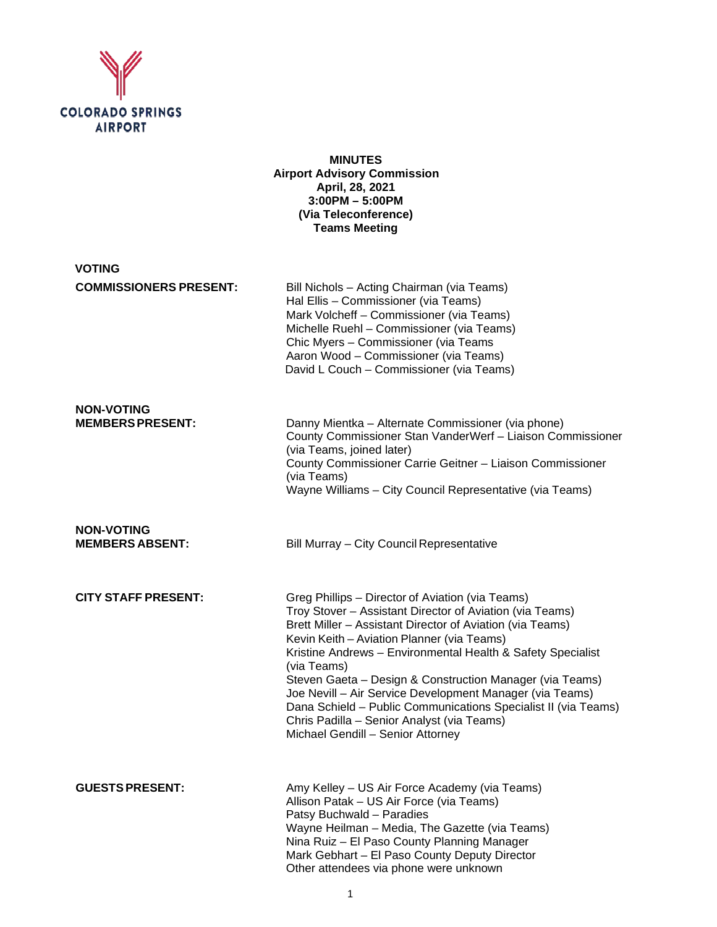

**MINUTES Airport Advisory Commission April, 28, 2021 3:00PM – 5:00PM (Via Teleconference) Teams Meeting**

**VOTING COMMISSIONERS PRESENT:** Bill Nichols – Acting Chairman (via Teams) Hal Ellis – Commissioner (via Teams) Mark Volcheff – Commissioner (via Teams) Michelle Ruehl – Commissioner (via Teams) Chic Myers – Commissioner (via Teams Aaron Wood – Commissioner (via Teams) David L Couch – Commissioner (via Teams) **NON-VOTING** Danny Mientka – Alternate Commissioner (via phone) County Commissioner Stan VanderWerf – Liaison Commissioner (via Teams, joined later) County Commissioner Carrie Geitner – Liaison Commissioner (via Teams) Wayne Williams – City Council Representative (via Teams) **NON-VOTING Bill Murray – City Council Representative CITY STAFF PRESENT:** Greg Phillips – Director of Aviation (via Teams) Troy Stover – Assistant Director of Aviation (via Teams) Brett Miller – Assistant Director of Aviation (via Teams) Kevin Keith – Aviation Planner (via Teams) Kristine Andrews – Environmental Health & Safety Specialist (via Teams) Steven Gaeta – Design & Construction Manager (via Teams) Joe Nevill – Air Service Development Manager (via Teams) Dana Schield – Public Communications Specialist II (via Teams) Chris Padilla – Senior Analyst (via Teams) Michael Gendill – Senior Attorney **GUESTSPRESENT:** Amy Kelley – US Air Force Academy (via Teams) Allison Patak – US Air Force (via Teams) Patsy Buchwald – Paradies Wayne Heilman – Media, The Gazette (via Teams) Nina Ruiz – El Paso County Planning Manager Mark Gebhart – El Paso County Deputy Director

Other attendees via phone were unknown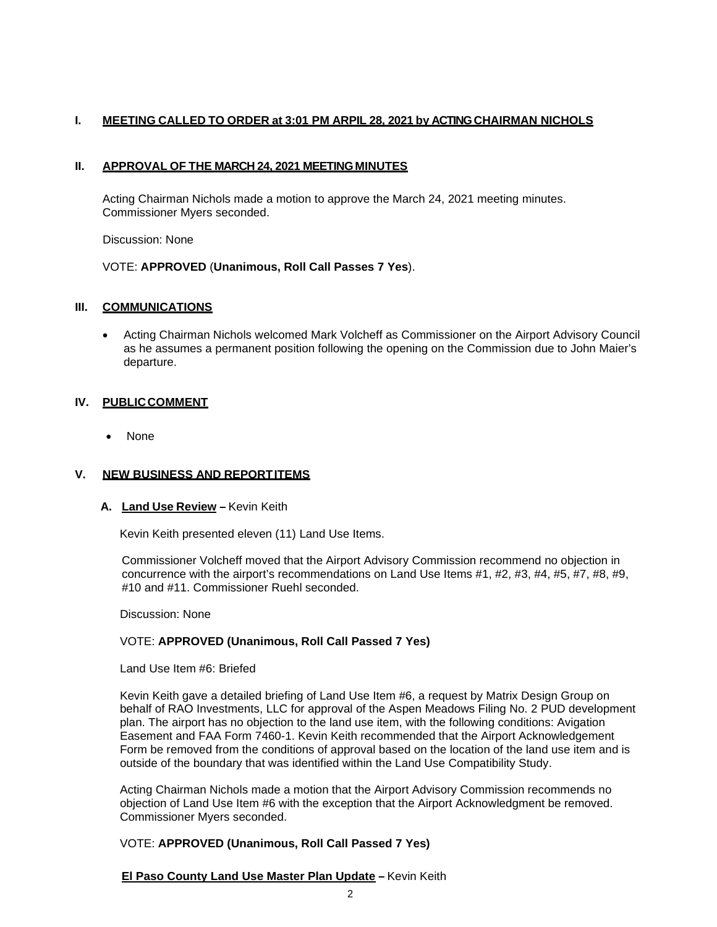# **I. MEETING CALLED TO ORDER at 3:01 PM ARPIL 28, 2021 by ACTING CHAIRMAN NICHOLS**

#### **II. APPROVAL OF THE MARCH 24, 2021 MEETINGMINUTES**

Acting Chairman Nichols made a motion to approve the March 24, 2021 meeting minutes. Commissioner Myers seconded.

Discussion: None

#### VOTE: **APPROVED** (**Unanimous, Roll Call Passes 7 Yes**).

#### **III. COMMUNICATIONS**

• Acting Chairman Nichols welcomed Mark Volcheff as Commissioner on the Airport Advisory Council as he assumes a permanent position following the opening on the Commission due to John Maier's departure.

## **IV. PUBLICCOMMENT**

• None

## **V. NEW BUSINESS AND REPORTITEMS**

#### **A. Land Use Review –** Kevin Keith

Kevin Keith presented eleven (11) Land Use Items.

Commissioner Volcheff moved that the Airport Advisory Commission recommend no objection in concurrence with the airport's recommendations on Land Use Items #1, #2, #3, #4, #5, #7, #8, #9, #10 and #11. Commissioner Ruehl seconded.

Discussion: None

#### VOTE: **APPROVED (Unanimous, Roll Call Passed 7 Yes)**

#### Land Use Item #6: Briefed

Kevin Keith gave a detailed briefing of Land Use Item #6, a request by Matrix Design Group on behalf of RAO Investments, LLC for approval of the Aspen Meadows Filing No. 2 PUD development plan. The airport has no objection to the land use item, with the following conditions: Avigation Easement and FAA Form 7460-1. Kevin Keith recommended that the Airport Acknowledgement Form be removed from the conditions of approval based on the location of the land use item and is outside of the boundary that was identified within the Land Use Compatibility Study.

Acting Chairman Nichols made a motion that the Airport Advisory Commission recommends no objection of Land Use Item #6 with the exception that the Airport Acknowledgment be removed. Commissioner Myers seconded.

## VOTE: **APPROVED (Unanimous, Roll Call Passed 7 Yes)**

## **El Paso County Land Use Master Plan Update –** Kevin Keith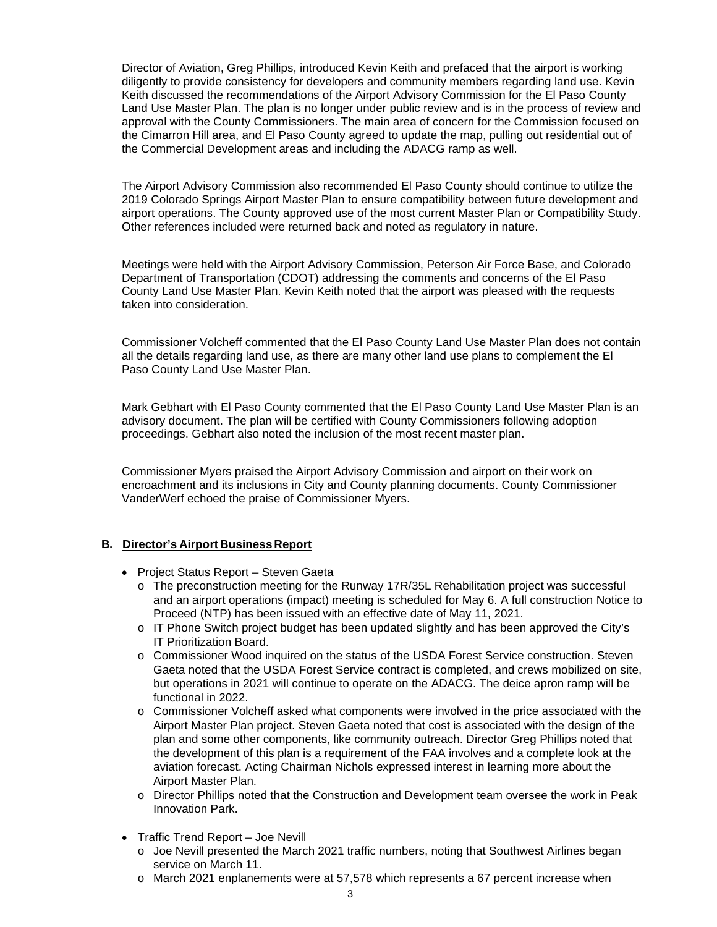Director of Aviation, Greg Phillips, introduced Kevin Keith and prefaced that the airport is working diligently to provide consistency for developers and community members regarding land use. Kevin Keith discussed the recommendations of the Airport Advisory Commission for the El Paso County Land Use Master Plan. The plan is no longer under public review and is in the process of review and approval with the County Commissioners. The main area of concern for the Commission focused on the Cimarron Hill area, and El Paso County agreed to update the map, pulling out residential out of the Commercial Development areas and including the ADACG ramp as well.

The Airport Advisory Commission also recommended El Paso County should continue to utilize the 2019 Colorado Springs Airport Master Plan to ensure compatibility between future development and airport operations. The County approved use of the most current Master Plan or Compatibility Study. Other references included were returned back and noted as regulatory in nature.

Meetings were held with the Airport Advisory Commission, Peterson Air Force Base, and Colorado Department of Transportation (CDOT) addressing the comments and concerns of the El Paso County Land Use Master Plan. Kevin Keith noted that the airport was pleased with the requests taken into consideration.

Commissioner Volcheff commented that the El Paso County Land Use Master Plan does not contain all the details regarding land use, as there are many other land use plans to complement the El Paso County Land Use Master Plan.

Mark Gebhart with El Paso County commented that the El Paso County Land Use Master Plan is an advisory document. The plan will be certified with County Commissioners following adoption proceedings. Gebhart also noted the inclusion of the most recent master plan.

Commissioner Myers praised the Airport Advisory Commission and airport on their work on encroachment and its inclusions in City and County planning documents. County Commissioner VanderWerf echoed the praise of Commissioner Myers.

#### **B. Director's Airport Business Report**

- Project Status Report Steven Gaeta
	- o The preconstruction meeting for the Runway 17R/35L Rehabilitation project was successful and an airport operations (impact) meeting is scheduled for May 6. A full construction Notice to Proceed (NTP) has been issued with an effective date of May 11, 2021.
	- o IT Phone Switch project budget has been updated slightly and has been approved the City's IT Prioritization Board.
	- o Commissioner Wood inquired on the status of the USDA Forest Service construction. Steven Gaeta noted that the USDA Forest Service contract is completed, and crews mobilized on site, but operations in 2021 will continue to operate on the ADACG. The deice apron ramp will be functional in 2022.
	- o Commissioner Volcheff asked what components were involved in the price associated with the Airport Master Plan project. Steven Gaeta noted that cost is associated with the design of the plan and some other components, like community outreach. Director Greg Phillips noted that the development of this plan is a requirement of the FAA involves and a complete look at the aviation forecast. Acting Chairman Nichols expressed interest in learning more about the Airport Master Plan.
	- o Director Phillips noted that the Construction and Development team oversee the work in Peak Innovation Park.
- Traffic Trend Report Joe Nevill
	- o Joe Nevill presented the March 2021 traffic numbers, noting that Southwest Airlines began service on March 11.
	- o March 2021 enplanements were at 57,578 which represents a 67 percent increase when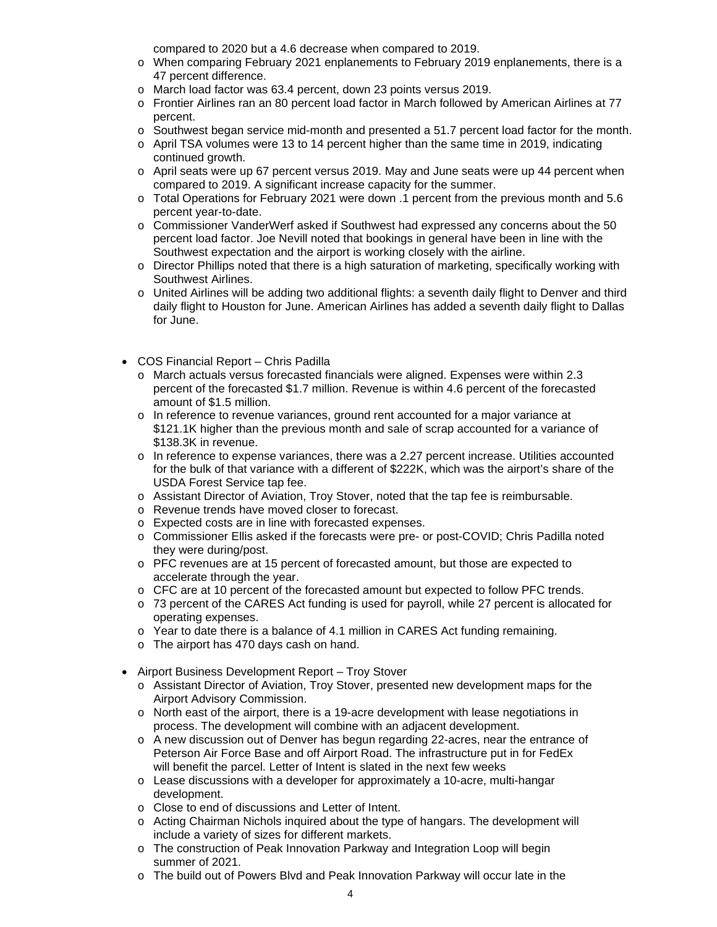compared to 2020 but a 4.6 decrease when compared to 2019.

- o When comparing February 2021 enplanements to February 2019 enplanements, there is a 47 percent difference.
- o March load factor was 63.4 percent, down 23 points versus 2019.
- o Frontier Airlines ran an 80 percent load factor in March followed by American Airlines at 77 percent.
- o Southwest began service mid-month and presented a 51.7 percent load factor for the month.
- o April TSA volumes were 13 to 14 percent higher than the same time in 2019, indicating continued growth.
- o April seats were up 67 percent versus 2019. May and June seats were up 44 percent when compared to 2019. A significant increase capacity for the summer.
- o Total Operations for February 2021 were down .1 percent from the previous month and 5.6 percent year-to-date.
- o Commissioner VanderWerf asked if Southwest had expressed any concerns about the 50 percent load factor. Joe Nevill noted that bookings in general have been in line with the Southwest expectation and the airport is working closely with the airline.
- o Director Phillips noted that there is a high saturation of marketing, specifically working with Southwest Airlines.
- o United Airlines will be adding two additional flights: a seventh daily flight to Denver and third daily flight to Houston for June. American Airlines has added a seventh daily flight to Dallas for June.
- COS Financial Report Chris Padilla
	- o March actuals versus forecasted financials were aligned. Expenses were within 2.3 percent of the forecasted \$1.7 million. Revenue is within 4.6 percent of the forecasted amount of \$1.5 million.
	- o In reference to revenue variances, ground rent accounted for a major variance at \$121.1K higher than the previous month and sale of scrap accounted for a variance of \$138.3K in revenue.
	- o In reference to expense variances, there was a 2.27 percent increase. Utilities accounted for the bulk of that variance with a different of \$222K, which was the airport's share of the USDA Forest Service tap fee.
	- o Assistant Director of Aviation, Troy Stover, noted that the tap fee is reimbursable.
	- o Revenue trends have moved closer to forecast.
	- o Expected costs are in line with forecasted expenses.
	- o Commissioner Ellis asked if the forecasts were pre- or post-COVID; Chris Padilla noted they were during/post.
	- o PFC revenues are at 15 percent of forecasted amount, but those are expected to accelerate through the year.
	- o CFC are at 10 percent of the forecasted amount but expected to follow PFC trends.
	- o 73 percent of the CARES Act funding is used for payroll, while 27 percent is allocated for operating expenses.
	- o Year to date there is a balance of 4.1 million in CARES Act funding remaining.
	- o The airport has 470 days cash on hand.
- Airport Business Development Report Troy Stover
	- o Assistant Director of Aviation, Troy Stover, presented new development maps for the Airport Advisory Commission.
	- o North east of the airport, there is a 19-acre development with lease negotiations in process. The development will combine with an adjacent development.
	- o A new discussion out of Denver has begun regarding 22-acres, near the entrance of Peterson Air Force Base and off Airport Road. The infrastructure put in for FedEx will benefit the parcel. Letter of Intent is slated in the next few weeks
	- o Lease discussions with a developer for approximately a 10-acre, multi-hangar development.
	- o Close to end of discussions and Letter of Intent.
	- o Acting Chairman Nichols inquired about the type of hangars. The development will include a variety of sizes for different markets.
	- o The construction of Peak Innovation Parkway and Integration Loop will begin summer of 2021.
	- o The build out of Powers Blvd and Peak Innovation Parkway will occur late in the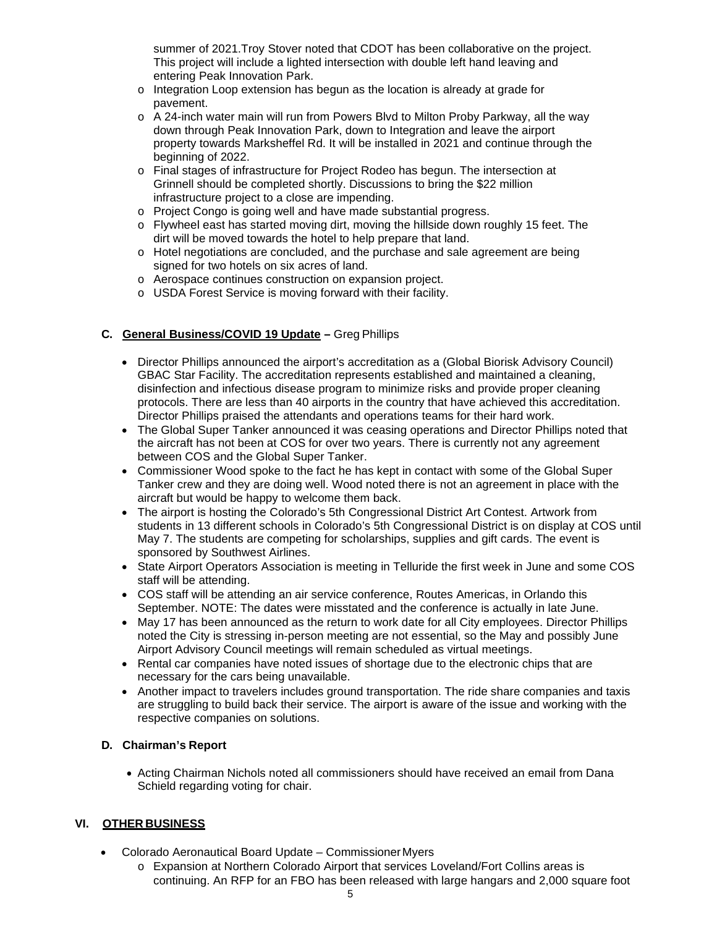summer of 2021.Troy Stover noted that CDOT has been collaborative on the project. This project will include a lighted intersection with double left hand leaving and entering Peak Innovation Park.

- o Integration Loop extension has begun as the location is already at grade for pavement.
- $\circ$  A 24-inch water main will run from Powers Blvd to Milton Proby Parkway, all the way down through Peak Innovation Park, down to Integration and leave the airport property towards Marksheffel Rd. It will be installed in 2021 and continue through the beginning of 2022.
- o Final stages of infrastructure for Project Rodeo has begun. The intersection at Grinnell should be completed shortly. Discussions to bring the \$22 million infrastructure project to a close are impending.
- o Project Congo is going well and have made substantial progress.
- o Flywheel east has started moving dirt, moving the hillside down roughly 15 feet. The dirt will be moved towards the hotel to help prepare that land.
- o Hotel negotiations are concluded, and the purchase and sale agreement are being signed for two hotels on six acres of land.
- o Aerospace continues construction on expansion project.
- o USDA Forest Service is moving forward with their facility.

# **C. General Business/COVID 19 Update –** Greg Phillips

- Director Phillips announced the airport's accreditation as a (Global Biorisk Advisory Council) GBAC Star Facility. The accreditation represents established and maintained a cleaning, disinfection and infectious disease program to minimize risks and provide proper cleaning protocols. There are less than 40 airports in the country that have achieved this accreditation. Director Phillips praised the attendants and operations teams for their hard work.
- The Global Super Tanker announced it was ceasing operations and Director Phillips noted that the aircraft has not been at COS for over two years. There is currently not any agreement between COS and the Global Super Tanker.
- Commissioner Wood spoke to the fact he has kept in contact with some of the Global Super Tanker crew and they are doing well. Wood noted there is not an agreement in place with the aircraft but would be happy to welcome them back.
- The airport is hosting the Colorado's 5th Congressional District Art Contest. Artwork from students in 13 different schools in Colorado's 5th Congressional District is on display at COS until May 7. The students are competing for scholarships, supplies and gift cards. The event is sponsored by Southwest Airlines.
- State Airport Operators Association is meeting in Telluride the first week in June and some COS staff will be attending.
- COS staff will be attending an air service conference, Routes Americas, in Orlando this September. NOTE: The dates were misstated and the conference is actually in late June.
- May 17 has been announced as the return to work date for all City employees. Director Phillips noted the City is stressing in-person meeting are not essential, so the May and possibly June Airport Advisory Council meetings will remain scheduled as virtual meetings.
- Rental car companies have noted issues of shortage due to the electronic chips that are necessary for the cars being unavailable.
- Another impact to travelers includes ground transportation. The ride share companies and taxis are struggling to build back their service. The airport is aware of the issue and working with the respective companies on solutions.

## **D. Chairman's Report**

• Acting Chairman Nichols noted all commissioners should have received an email from Dana Schield regarding voting for chair.

# **VI. OTHER BUSINESS**

- Colorado Aeronautical Board Update Commissioner Myers
	- o Expansion at Northern Colorado Airport that services Loveland/Fort Collins areas is continuing. An RFP for an FBO has been released with large hangars and 2,000 square foot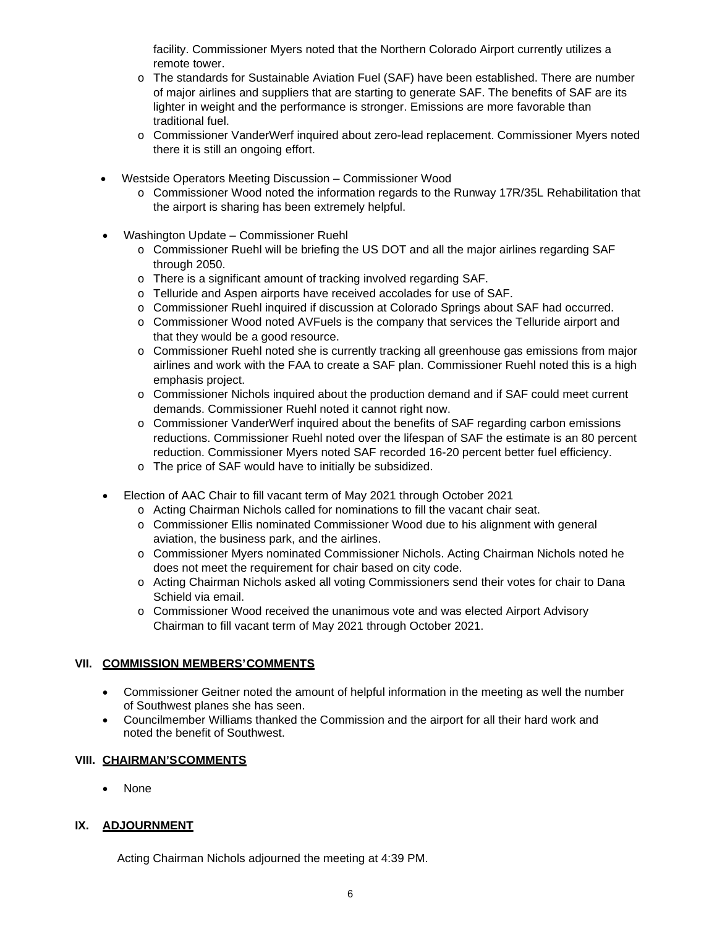facility. Commissioner Myers noted that the Northern Colorado Airport currently utilizes a remote tower.

- o The standards for Sustainable Aviation Fuel (SAF) have been established. There are number of major airlines and suppliers that are starting to generate SAF. The benefits of SAF are its lighter in weight and the performance is stronger. Emissions are more favorable than traditional fuel.
- o Commissioner VanderWerf inquired about zero-lead replacement. Commissioner Myers noted there it is still an ongoing effort.
- Westside Operators Meeting Discussion Commissioner Wood
	- o Commissioner Wood noted the information regards to the Runway 17R/35L Rehabilitation that the airport is sharing has been extremely helpful.
- Washington Update Commissioner Ruehl
	- o Commissioner Ruehl will be briefing the US DOT and all the major airlines regarding SAF through 2050.
	- o There is a significant amount of tracking involved regarding SAF.
	- o Telluride and Aspen airports have received accolades for use of SAF.
	- o Commissioner Ruehl inquired if discussion at Colorado Springs about SAF had occurred.
	- o Commissioner Wood noted AVFuels is the company that services the Telluride airport and that they would be a good resource.
	- o Commissioner Ruehl noted she is currently tracking all greenhouse gas emissions from major airlines and work with the FAA to create a SAF plan. Commissioner Ruehl noted this is a high emphasis project.
	- o Commissioner Nichols inquired about the production demand and if SAF could meet current demands. Commissioner Ruehl noted it cannot right now.
	- o Commissioner VanderWerf inquired about the benefits of SAF regarding carbon emissions reductions. Commissioner Ruehl noted over the lifespan of SAF the estimate is an 80 percent reduction. Commissioner Myers noted SAF recorded 16-20 percent better fuel efficiency.
	- o The price of SAF would have to initially be subsidized.
- Election of AAC Chair to fill vacant term of May 2021 through October 2021
	- o Acting Chairman Nichols called for nominations to fill the vacant chair seat.
	- o Commissioner Ellis nominated Commissioner Wood due to his alignment with general aviation, the business park, and the airlines.
	- o Commissioner Myers nominated Commissioner Nichols. Acting Chairman Nichols noted he does not meet the requirement for chair based on city code.
	- o Acting Chairman Nichols asked all voting Commissioners send their votes for chair to Dana Schield via email.
	- o Commissioner Wood received the unanimous vote and was elected Airport Advisory Chairman to fill vacant term of May 2021 through October 2021.

## **VII. COMMISSION MEMBERS'COMMENTS**

- Commissioner Geitner noted the amount of helpful information in the meeting as well the number of Southwest planes she has seen.
- Councilmember Williams thanked the Commission and the airport for all their hard work and noted the benefit of Southwest.

#### **VIII. CHAIRMAN'SCOMMENTS**

• None

## **IX. ADJOURNMENT**

Acting Chairman Nichols adjourned the meeting at 4:39 PM.